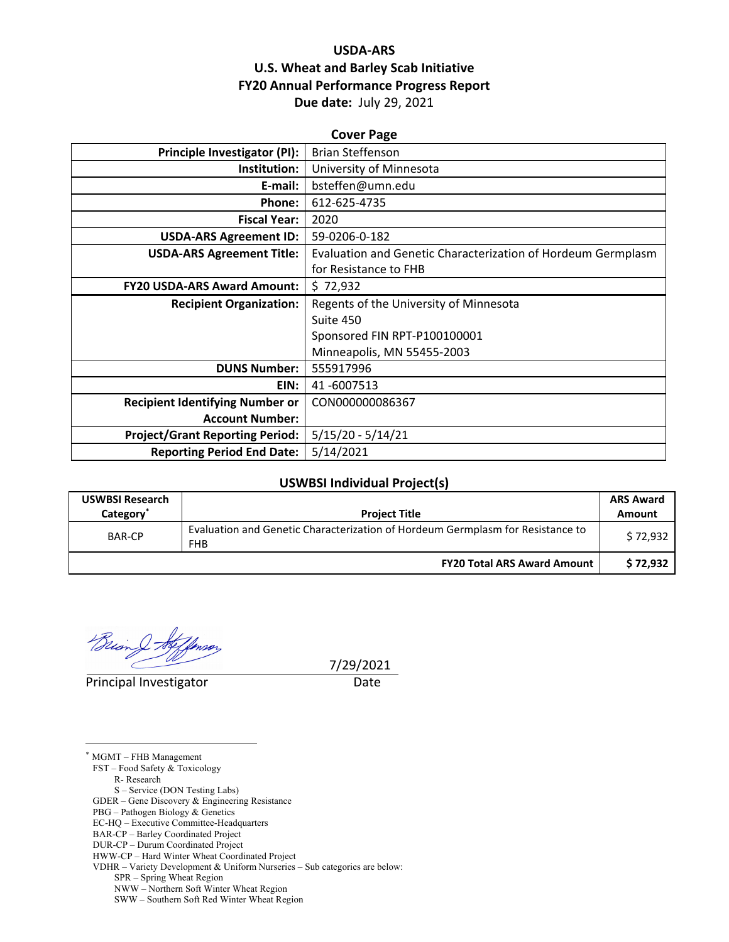## **USDA‐ARS U.S. Wheat and Barley Scab Initiative FY20 Annual Performance Progress Report Due date:** July 29, 2021

| <b>Cover Page</b>                      |                                                              |  |  |  |
|----------------------------------------|--------------------------------------------------------------|--|--|--|
| <b>Principle Investigator (PI):</b>    | <b>Brian Steffenson</b>                                      |  |  |  |
| Institution:                           | University of Minnesota                                      |  |  |  |
| E-mail:                                | bsteffen@umn.edu                                             |  |  |  |
| Phone:                                 | 612-625-4735                                                 |  |  |  |
| <b>Fiscal Year:</b>                    | 2020                                                         |  |  |  |
| <b>USDA-ARS Agreement ID:</b>          | 59-0206-0-182                                                |  |  |  |
| <b>USDA-ARS Agreement Title:</b>       | Evaluation and Genetic Characterization of Hordeum Germplasm |  |  |  |
|                                        | for Resistance to FHB                                        |  |  |  |
| <b>FY20 USDA-ARS Award Amount:</b>     | \$72,932                                                     |  |  |  |
| <b>Recipient Organization:</b>         | Regents of the University of Minnesota                       |  |  |  |
|                                        | Suite 450                                                    |  |  |  |
|                                        | Sponsored FIN RPT-P100100001                                 |  |  |  |
|                                        | Minneapolis, MN 55455-2003                                   |  |  |  |
| <b>DUNS Number:</b>                    | 555917996                                                    |  |  |  |
| EIN:                                   | 41-6007513                                                   |  |  |  |
| <b>Recipient Identifying Number or</b> | CON000000086367                                              |  |  |  |
| <b>Account Number:</b>                 |                                                              |  |  |  |
| <b>Project/Grant Reporting Period:</b> | $5/15/20 - 5/14/21$                                          |  |  |  |
| <b>Reporting Period End Date:</b>      | 5/14/2021                                                    |  |  |  |

#### **USWBSI Individual Project(s)**

| <b>USWBSI Research</b><br>Category <sup>®</sup> | <b>Project Title</b>                                                                         | <b>ARS Award</b><br>Amount |
|-------------------------------------------------|----------------------------------------------------------------------------------------------|----------------------------|
| <b>BAR-CP</b>                                   | Evaluation and Genetic Characterization of Hordeum Germplasm for Resistance to<br><b>FHB</b> | \$72.932                   |
|                                                 | <b>FY20 Total ARS Award Amount</b>                                                           | \$72,932                   |

 $\mathcal{Q}$  for

Principal Investigator **Date** 

 $\overline{a}$ 

7/29/2021

\* MGMT – FHB Management FST – Food Safety & Toxicology R- Research S – Service (DON Testing Labs) GDER – Gene Discovery & Engineering Resistance PBG – Pathogen Biology & Genetics EC-HQ – Executive Committee-Headquarters BAR-CP – Barley Coordinated Project DUR-CP – Durum Coordinated Project HWW-CP – Hard Winter Wheat Coordinated Project VDHR – Variety Development & Uniform Nurseries – Sub categories are below: SPR – Spring Wheat Region NWW – Northern Soft Winter Wheat Region SWW – Southern Soft Red Winter Wheat Region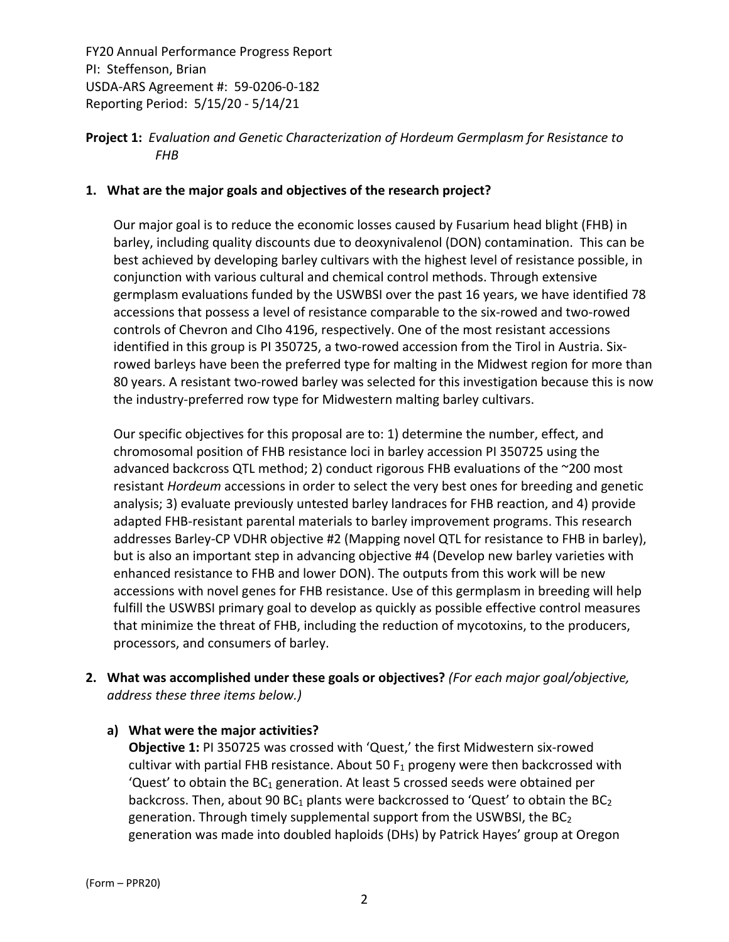**Project 1:** *Evaluation and Genetic Characterization of Hordeum Germplasm for Resistance to FHB*

#### **1. What are the major goals and objectives of the research project?**

Our major goal is to reduce the economic losses caused by Fusarium head blight (FHB) in barley, including quality discounts due to deoxynivalenol (DON) contamination. This can be best achieved by developing barley cultivars with the highest level of resistance possible, in conjunction with various cultural and chemical control methods. Through extensive germplasm evaluations funded by the USWBSI over the past 16 years, we have identified 78 accessions that possess a level of resistance comparable to the six‐rowed and two‐rowed controls of Chevron and CIho 4196, respectively. One of the most resistant accessions identified in this group is PI 350725, a two-rowed accession from the Tirol in Austria. Sixrowed barleys have been the preferred type for malting in the Midwest region for more than 80 years. A resistant two-rowed barley was selected for this investigation because this is now the industry‐preferred row type for Midwestern malting barley cultivars.

Our specific objectives for this proposal are to: 1) determine the number, effect, and chromosomal position of FHB resistance loci in barley accession PI 350725 using the advanced backcross QTL method; 2) conduct rigorous FHB evaluations of the ~200 most resistant *Hordeum* accessions in order to select the very best ones for breeding and genetic analysis; 3) evaluate previously untested barley landraces for FHB reaction, and 4) provide adapted FHB‐resistant parental materials to barley improvement programs. This research addresses Barley‐CP VDHR objective #2 (Mapping novel QTL for resistance to FHB in barley), but is also an important step in advancing objective #4 (Develop new barley varieties with enhanced resistance to FHB and lower DON). The outputs from this work will be new accessions with novel genes for FHB resistance. Use of this germplasm in breeding will help fulfill the USWBSI primary goal to develop as quickly as possible effective control measures that minimize the threat of FHB, including the reduction of mycotoxins, to the producers, processors, and consumers of barley.

**2. What was accomplished under these goals or objectives?** *(For each major goal/objective, address these three items below.)*

## **a) What were the major activities?**

**Objective 1:** PI 350725 was crossed with 'Quest,' the first Midwestern six‐rowed cultivar with partial FHB resistance. About 50  $F_1$  progeny were then backcrossed with 'Quest' to obtain the  $BC_1$  generation. At least 5 crossed seeds were obtained per backcross. Then, about 90 BC<sub>1</sub> plants were backcrossed to 'Quest' to obtain the BC<sub>2</sub> generation. Through timely supplemental support from the USWBSI, the  $BC<sub>2</sub>$ generation was made into doubled haploids (DHs) by Patrick Hayes' group at Oregon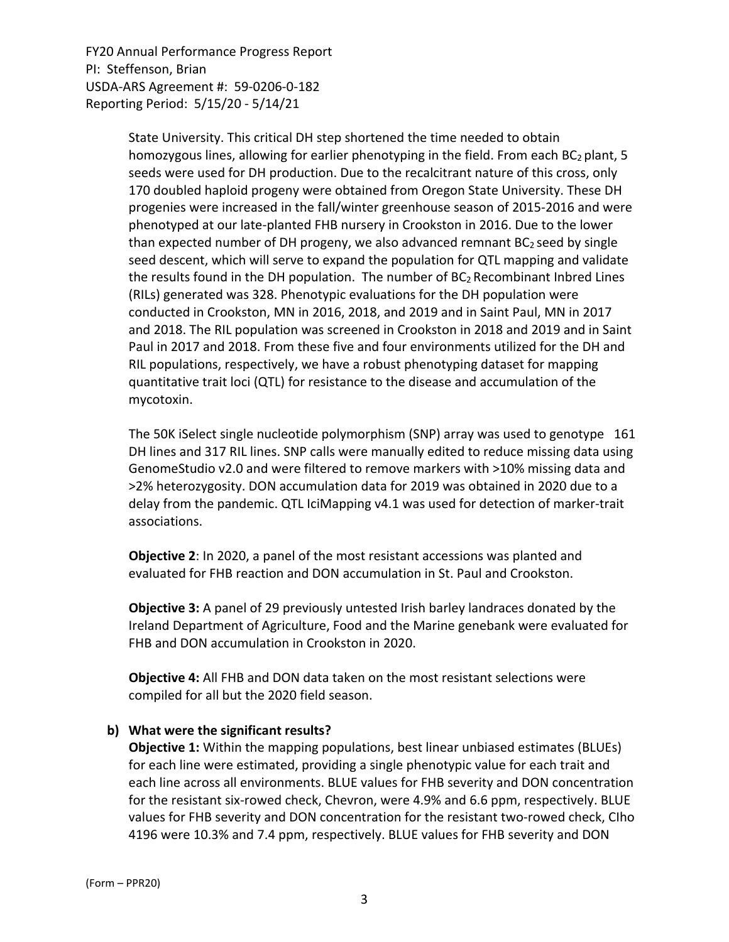> State University. This critical DH step shortened the time needed to obtain homozygous lines, allowing for earlier phenotyping in the field. From each  $BC_2$  plant, 5 seeds were used for DH production. Due to the recalcitrant nature of this cross, only 170 doubled haploid progeny were obtained from Oregon State University. These DH progenies were increased in the fall/winter greenhouse season of 2015‐2016 and were phenotyped at our late‐planted FHB nursery in Crookston in 2016. Due to the lower than expected number of DH progeny, we also advanced remnant  $BC<sub>2</sub>$  seed by single seed descent, which will serve to expand the population for QTL mapping and validate the results found in the DH population. The number of  $BC<sub>2</sub> Recombinant Inbred Lines$ (RILs) generated was 328. Phenotypic evaluations for the DH population were conducted in Crookston, MN in 2016, 2018, and 2019 and in Saint Paul, MN in 2017 and 2018. The RIL population was screened in Crookston in 2018 and 2019 and in Saint Paul in 2017 and 2018. From these five and four environments utilized for the DH and RIL populations, respectively, we have a robust phenotyping dataset for mapping quantitative trait loci (QTL) for resistance to the disease and accumulation of the mycotoxin.

> The 50K iSelect single nucleotide polymorphism (SNP) array was used to genotype 161 DH lines and 317 RIL lines. SNP calls were manually edited to reduce missing data using GenomeStudio v2.0 and were filtered to remove markers with >10% missing data and >2% heterozygosity. DON accumulation data for 2019 was obtained in 2020 due to a delay from the pandemic. QTL IciMapping v4.1 was used for detection of marker‐trait associations.

**Objective 2**: In 2020, a panel of the most resistant accessions was planted and evaluated for FHB reaction and DON accumulation in St. Paul and Crookston.

**Objective 3:** A panel of 29 previously untested Irish barley landraces donated by the Ireland Department of Agriculture, Food and the Marine genebank were evaluated for FHB and DON accumulation in Crookston in 2020.

**Objective 4:** All FHB and DON data taken on the most resistant selections were compiled for all but the 2020 field season.

#### **b) What were the significant results?**

**Objective 1:** Within the mapping populations, best linear unbiased estimates (BLUEs) for each line were estimated, providing a single phenotypic value for each trait and each line across all environments. BLUE values for FHB severity and DON concentration for the resistant six‐rowed check, Chevron, were 4.9% and 6.6 ppm, respectively. BLUE values for FHB severity and DON concentration for the resistant two‐rowed check, CIho 4196 were 10.3% and 7.4 ppm, respectively. BLUE values for FHB severity and DON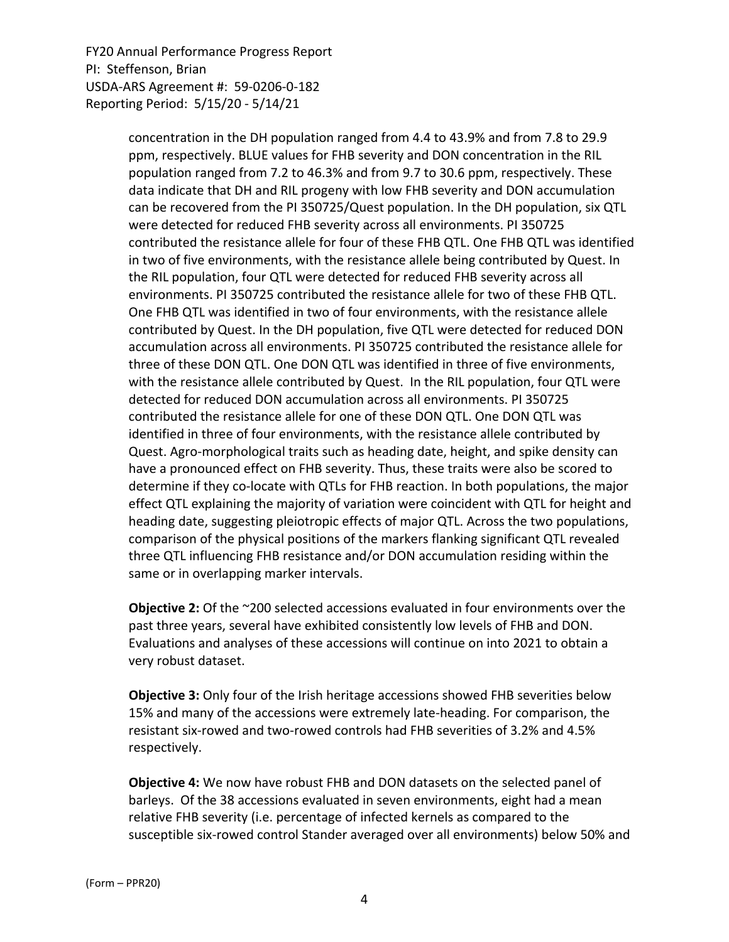> concentration in the DH population ranged from 4.4 to 43.9% and from 7.8 to 29.9 ppm, respectively. BLUE values for FHB severity and DON concentration in the RIL population ranged from 7.2 to 46.3% and from 9.7 to 30.6 ppm, respectively. These data indicate that DH and RIL progeny with low FHB severity and DON accumulation can be recovered from the PI 350725/Quest population. In the DH population, six QTL were detected for reduced FHB severity across all environments. PI 350725 contributed the resistance allele for four of these FHB QTL. One FHB QTL was identified in two of five environments, with the resistance allele being contributed by Quest. In the RIL population, four QTL were detected for reduced FHB severity across all environments. PI 350725 contributed the resistance allele for two of these FHB QTL. One FHB QTL was identified in two of four environments, with the resistance allele contributed by Quest. In the DH population, five QTL were detected for reduced DON accumulation across all environments. PI 350725 contributed the resistance allele for three of these DON QTL. One DON QTL was identified in three of five environments, with the resistance allele contributed by Quest. In the RIL population, four QTL were detected for reduced DON accumulation across all environments. PI 350725 contributed the resistance allele for one of these DON QTL. One DON QTL was identified in three of four environments, with the resistance allele contributed by Quest. Agro‐morphological traits such as heading date, height, and spike density can have a pronounced effect on FHB severity. Thus, these traits were also be scored to determine if they co-locate with QTLs for FHB reaction. In both populations, the major effect QTL explaining the majority of variation were coincident with QTL for height and heading date, suggesting pleiotropic effects of major QTL. Across the two populations, comparison of the physical positions of the markers flanking significant QTL revealed three QTL influencing FHB resistance and/or DON accumulation residing within the same or in overlapping marker intervals.

**Objective 2:** Of the ~200 selected accessions evaluated in four environments over the past three years, several have exhibited consistently low levels of FHB and DON. Evaluations and analyses of these accessions will continue on into 2021 to obtain a very robust dataset.

**Objective 3:** Only four of the Irish heritage accessions showed FHB severities below 15% and many of the accessions were extremely late‐heading. For comparison, the resistant six‐rowed and two‐rowed controls had FHB severities of 3.2% and 4.5% respectively.

**Objective 4:** We now have robust FHB and DON datasets on the selected panel of barleys. Of the 38 accessions evaluated in seven environments, eight had a mean relative FHB severity (i.e. percentage of infected kernels as compared to the susceptible six‐rowed control Stander averaged over all environments) below 50% and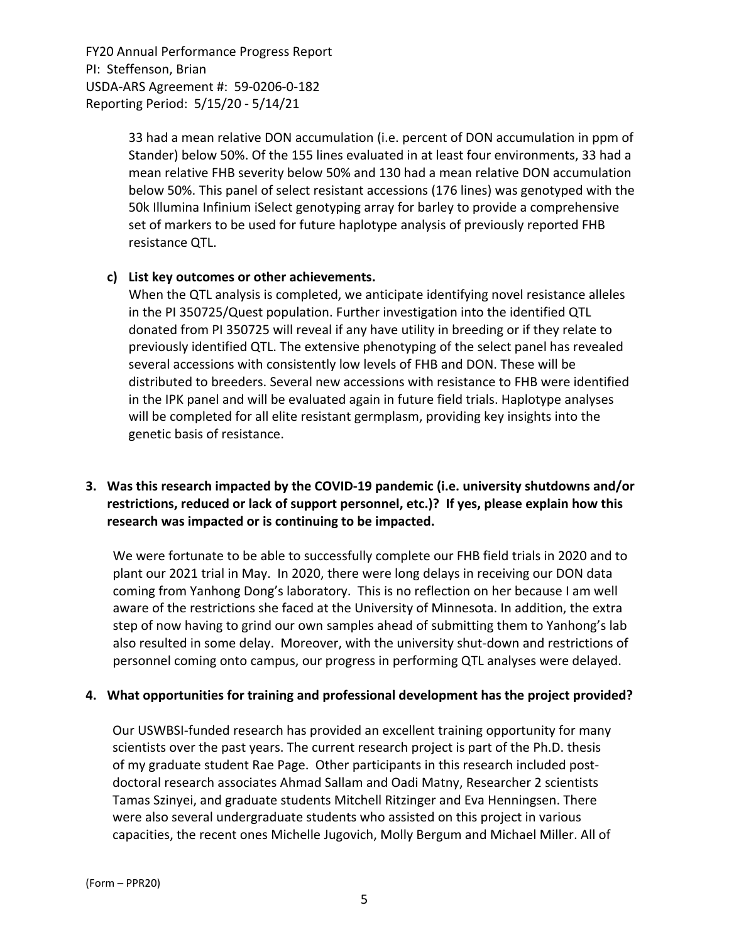> 33 had a mean relative DON accumulation (i.e. percent of DON accumulation in ppm of Stander) below 50%. Of the 155 lines evaluated in at least four environments, 33 had a mean relative FHB severity below 50% and 130 had a mean relative DON accumulation below 50%. This panel of select resistant accessions (176 lines) was genotyped with the 50k Illumina Infinium iSelect genotyping array for barley to provide a comprehensive set of markers to be used for future haplotype analysis of previously reported FHB resistance QTL.

#### **c) List key outcomes or other achievements.**

When the QTL analysis is completed, we anticipate identifying novel resistance alleles in the PI 350725/Quest population. Further investigation into the identified QTL donated from PI 350725 will reveal if any have utility in breeding or if they relate to previously identified QTL. The extensive phenotyping of the select panel has revealed several accessions with consistently low levels of FHB and DON. These will be distributed to breeders. Several new accessions with resistance to FHB were identified in the IPK panel and will be evaluated again in future field trials. Haplotype analyses will be completed for all elite resistant germplasm, providing key insights into the genetic basis of resistance.

## **3. Was this research impacted by the COVID‐19 pandemic (i.e. university shutdowns and/or restrictions, reduced or lack of support personnel, etc.)? If yes, please explain how this research was impacted or is continuing to be impacted.**

We were fortunate to be able to successfully complete our FHB field trials in 2020 and to plant our 2021 trial in May. In 2020, there were long delays in receiving our DON data coming from Yanhong Dong's laboratory. This is no reflection on her because I am well aware of the restrictions she faced at the University of Minnesota. In addition, the extra step of now having to grind our own samples ahead of submitting them to Yanhong's lab also resulted in some delay. Moreover, with the university shut‐down and restrictions of personnel coming onto campus, our progress in performing QTL analyses were delayed.

## **4. What opportunities for training and professional development has the project provided?**

Our USWBSI‐funded research has provided an excellent training opportunity for many scientists over the past years. The current research project is part of the Ph.D. thesis of my graduate student Rae Page. Other participants in this research included post‐ doctoral research associates Ahmad Sallam and Oadi Matny, Researcher 2 scientists Tamas Szinyei, and graduate students Mitchell Ritzinger and Eva Henningsen. There were also several undergraduate students who assisted on this project in various capacities, the recent ones Michelle Jugovich, Molly Bergum and Michael Miller. All of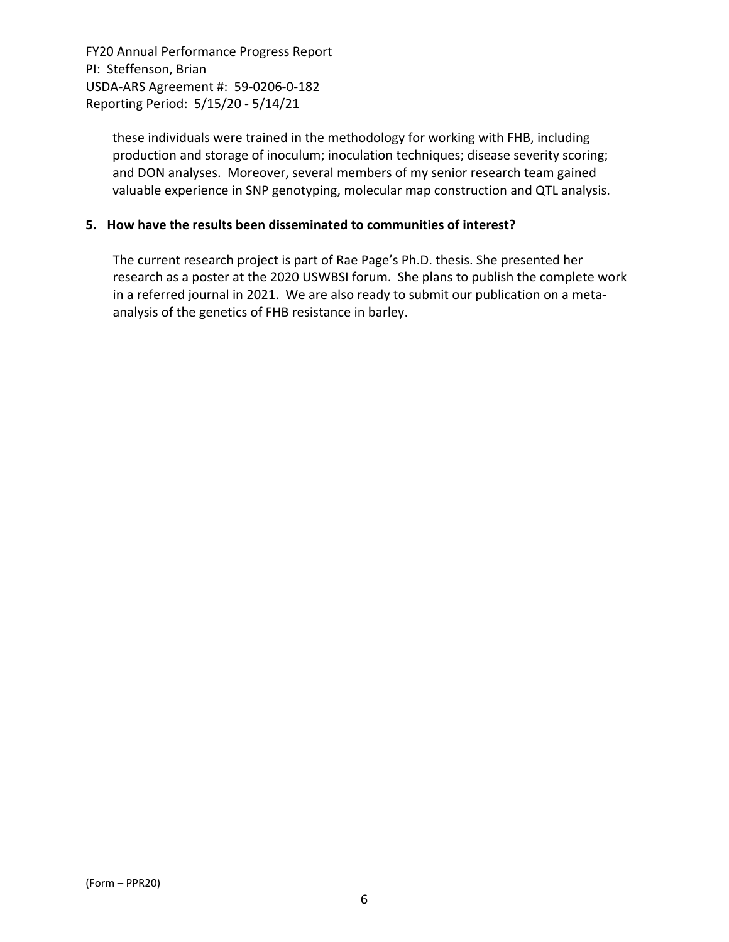> these individuals were trained in the methodology for working with FHB, including production and storage of inoculum; inoculation techniques; disease severity scoring; and DON analyses. Moreover, several members of my senior research team gained valuable experience in SNP genotyping, molecular map construction and QTL analysis.

## **5. How have the results been disseminated to communities of interest?**

The current research project is part of Rae Page's Ph.D. thesis. She presented her research as a poster at the 2020 USWBSI forum. She plans to publish the complete work in a referred journal in 2021. We are also ready to submit our publication on a meta‐ analysis of the genetics of FHB resistance in barley.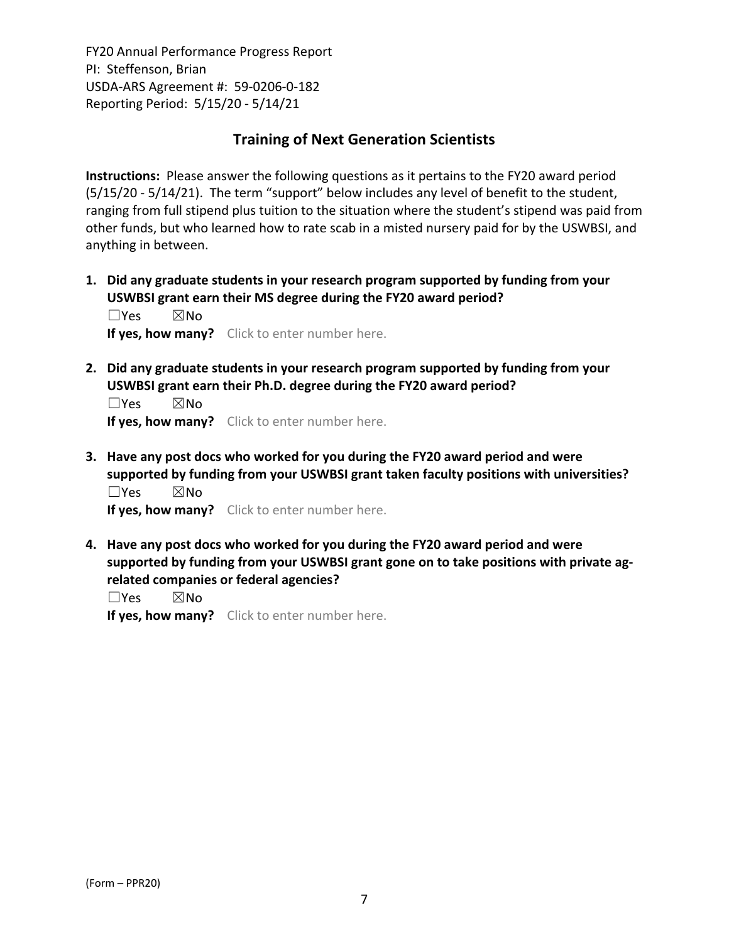## **Training of Next Generation Scientists**

**Instructions:** Please answer the following questions as it pertains to the FY20 award period (5/15/20 ‐ 5/14/21). The term "support" below includes any level of benefit to the student, ranging from full stipend plus tuition to the situation where the student's stipend was paid from other funds, but who learned how to rate scab in a misted nursery paid for by the USWBSI, and anything in between.

**1. Did any graduate students in your research program supported by funding from your USWBSI grant earn their MS degree during the FY20 award period?** ☐Yes ☒No

**If yes, how many?** Click to enter number here.

**2. Did any graduate students in your research program supported by funding from your USWBSI grant earn their Ph.D. degree during the FY20 award period?**

☐Yes ☒No **If yes, how many?** Click to enter number here.

**3. Have any post docs who worked for you during the FY20 award period and were supported by funding from your USWBSI grant taken faculty positions with universities?** ☐Yes ☒No

**If yes, how many?** Click to enter number here.

**4. Have any post docs who worked for you during the FY20 award period and were supported by funding from your USWBSI grant gone on to take positions with private ag‐ related companies or federal agencies?**

☐Yes ☒No

**If yes, how many?** Click to enter number here.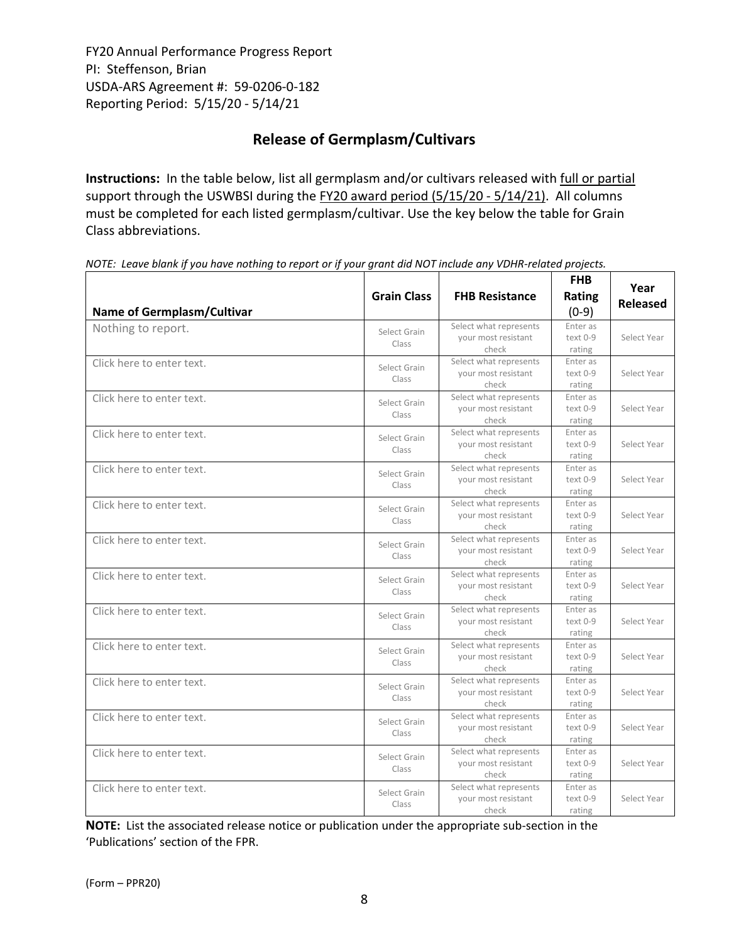# **Release of Germplasm/Cultivars**

**Instructions:** In the table below, list all germplasm and/or cultivars released with full or partial support through the USWBSI during the FY20 award period (5/15/20 - 5/14/21). All columns must be completed for each listed germplasm/cultivar. Use the key below the table for Grain Class abbreviations. 

| <b>Name of Germplasm/Cultivar</b> | <b>Grain Class</b>    | <b>FHB Resistance</b>                                  | <b>FHB</b><br>Rating<br>$(0-9)$  | Year<br><b>Released</b> |
|-----------------------------------|-----------------------|--------------------------------------------------------|----------------------------------|-------------------------|
| Nothing to report.                | Select Grain<br>Class | Select what represents<br>your most resistant<br>check | Enter as<br>$text 0-9$<br>rating | Select Year             |
| Click here to enter text.         | Select Grain<br>Class | Select what represents<br>your most resistant<br>check | Enter as<br>text 0-9<br>rating   | Select Year             |
| Click here to enter text.         | Select Grain<br>Class | Select what represents<br>your most resistant<br>check | Enter as<br>text 0-9<br>rating   | Select Year             |
| Click here to enter text.         | Select Grain<br>Class | Select what represents<br>your most resistant<br>check | Enter as<br>text 0-9<br>rating   | Select Year             |
| Click here to enter text.         | Select Grain<br>Class | Select what represents<br>your most resistant<br>check | Enter as<br>text 0-9<br>rating   | Select Year             |
| Click here to enter text.         | Select Grain<br>Class | Select what represents<br>your most resistant<br>check | Enter as<br>text 0-9<br>rating   | Select Year             |
| Click here to enter text.         | Select Grain<br>Class | Select what represents<br>your most resistant<br>check | Enter as<br>text 0-9<br>rating   | Select Year             |
| Click here to enter text.         | Select Grain<br>Class | Select what represents<br>your most resistant<br>check | Enter as<br>text 0-9<br>rating   | Select Year             |
| Click here to enter text.         | Select Grain<br>Class | Select what represents<br>your most resistant<br>check | Enter as<br>text 0-9<br>rating   | Select Year             |
| Click here to enter text.         | Select Grain<br>Class | Select what represents<br>your most resistant<br>check | Enter as<br>text 0-9<br>rating   | Select Year             |
| Click here to enter text.         | Select Grain<br>Class | Select what represents<br>your most resistant<br>check | Enter as<br>$text 0-9$<br>rating | Select Year             |
| Click here to enter text.         | Select Grain<br>Class | Select what represents<br>vour most resistant<br>check | Enter as<br>text 0-9<br>rating   | Select Year             |
| Click here to enter text.         | Select Grain<br>Class | Select what represents<br>your most resistant<br>check | Enter as<br>text 0-9<br>rating   | Select Year             |
| Click here to enter text.         | Select Grain<br>Class | Select what represents<br>your most resistant<br>check | Enter as<br>text 0-9<br>rating   | Select Year             |

NOTE: Leave blank if you have nothing to report or if your grant did NOT include any VDHR-related projects.

**NOTE:** List the associated release notice or publication under the appropriate sub-section in the 'Publications' section of the FPR.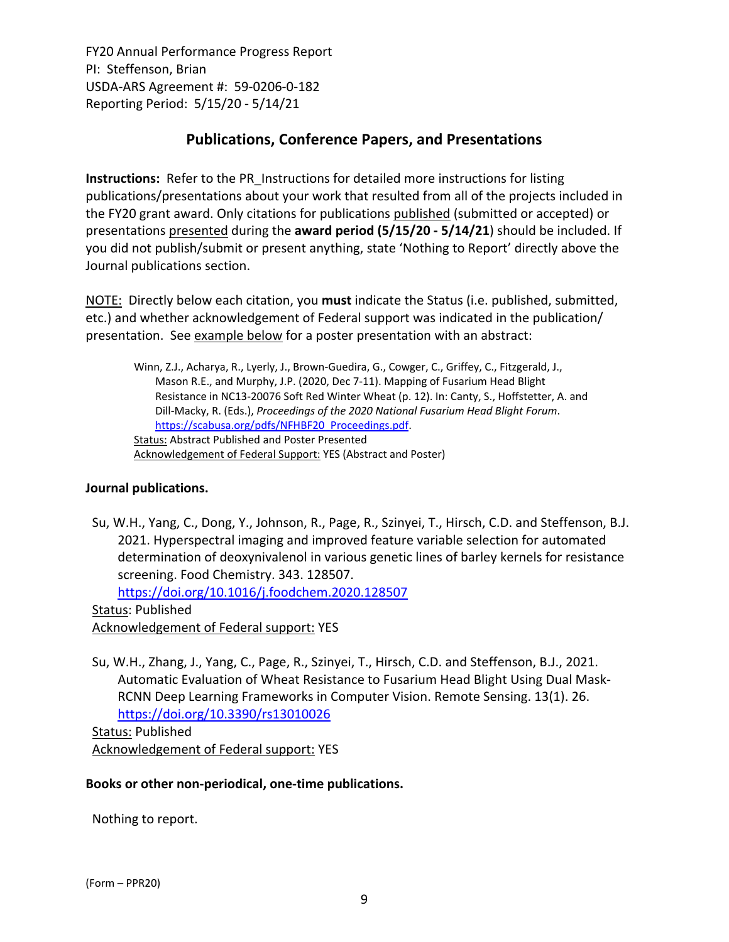## **Publications, Conference Papers, and Presentations**

**Instructions:** Refer to the PR\_Instructions for detailed more instructions for listing publications/presentations about your work that resulted from all of the projects included in the FY20 grant award. Only citations for publications published (submitted or accepted) or presentations presented during the **award period (5/15/20 ‐ 5/14/21**) should be included. If you did not publish/submit or present anything, state 'Nothing to Report' directly above the Journal publications section.

NOTE: Directly below each citation, you **must** indicate the Status (i.e. published, submitted, etc.) and whether acknowledgement of Federal support was indicated in the publication/ presentation. See example below for a poster presentation with an abstract:

Winn, Z.J., Acharya, R., Lyerly, J., Brown‐Guedira, G., Cowger, C., Griffey, C., Fitzgerald, J., Mason R.E., and Murphy, J.P. (2020, Dec 7‐11). Mapping of Fusarium Head Blight Resistance in NC13‐20076 Soft Red Winter Wheat (p. 12). In: Canty, S., Hoffstetter, A. and Dill‐Macky, R. (Eds.), *Proceedings of the 2020 National Fusarium Head Blight Forum*. https://scabusa.org/pdfs/NFHBF20\_Proceedings.pdf. Status: Abstract Published and Poster Presented Acknowledgement of Federal Support: YES (Abstract and Poster)

## **Journal publications.**

Su, W.H., Yang, C., Dong, Y., Johnson, R., Page, R., Szinyei, T., Hirsch, C.D. and Steffenson, B.J. 2021. Hyperspectral imaging and improved feature variable selection for automated determination of deoxynivalenol in various genetic lines of barley kernels for resistance screening. Food Chemistry. 343. 128507.

https://doi.org/10.1016/j.foodchem.2020.128507

Status: Published Acknowledgement of Federal support: YES

Su, W.H., Zhang, J., Yang, C., Page, R., Szinyei, T., Hirsch, C.D. and Steffenson, B.J., 2021. Automatic Evaluation of Wheat Resistance to Fusarium Head Blight Using Dual Mask‐ RCNN Deep Learning Frameworks in Computer Vision. Remote Sensing. 13(1). 26. https://doi.org/10.3390/rs13010026

Status: Published Acknowledgement of Federal support: YES

#### **Books or other non‐periodical, one‐time publications.**

Nothing to report.